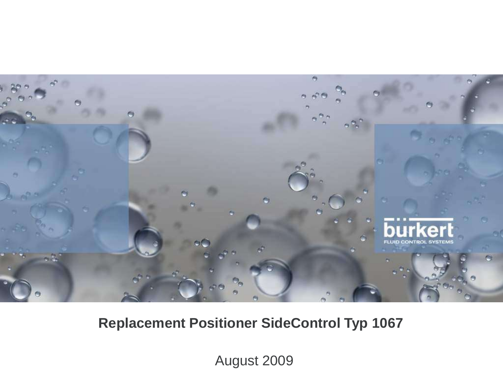

# **Replacement Positioner SideControl Typ 1067**

August 2009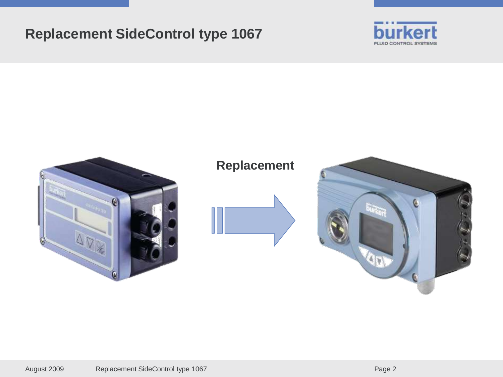### **Replacement SideControl type 1067**





### **Replacement**



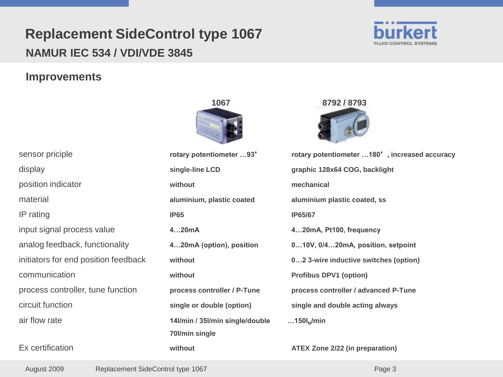

#### **Improvements**





| sensor priciple                      | rotary potentiometer 93°        | rotary potentiometer  180°, increased accuracy |
|--------------------------------------|---------------------------------|------------------------------------------------|
| display                              | single-line LCD                 | graphic 128x64 COG, backlight                  |
| position indicator                   | without                         | mechanical                                     |
| material                             | aluminium, plastic coated       | aluminium plastic coated, ss                   |
| IP rating                            | <b>IP65</b>                     | <b>IP65/67</b>                                 |
| input signal process value           | 420mA                           | 420mA, Pt100, frequency                        |
| analog feedback, functionality       | 420mA (option), position        | 010V, 0/420mA, position, setpoint              |
| initiators for end position feedback | without                         | 02 3-wire inductive switches (option)          |
| communication                        | without                         | <b>Profibus DPV1 (option)</b>                  |
| process controller, tune function    | process controller / P-Tune     | process controller / advanced P-Tune           |
| circuit function                     | single or double (option)       | single and double acting always                |
| air flow rate                        | 14l/min / 35l/min single/double | 150I <sub>N</sub> /min                         |
|                                      | 70l/min single                  |                                                |
| Ex certification                     | without                         | ATEX Zone 2/22 (in preparation)                |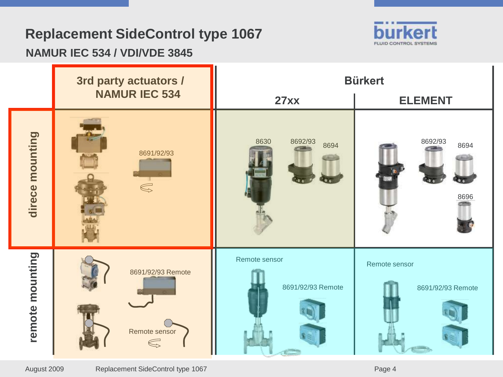# **Replacement SideControl type 1067**

### **NAMUR IEC 534 / VDI/VDE 3845**



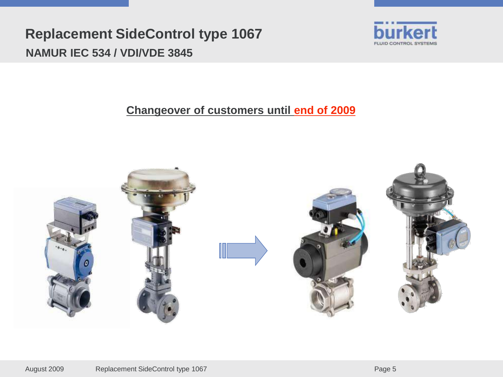

### **Changeover of customers until end of 2009**

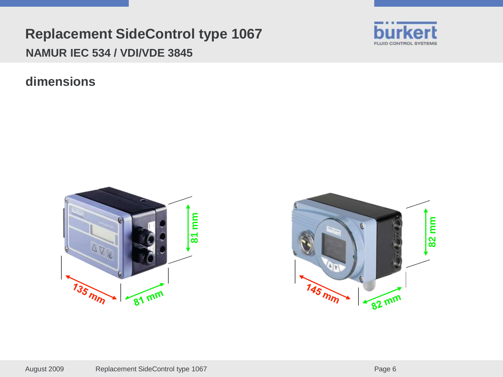**dimensions**





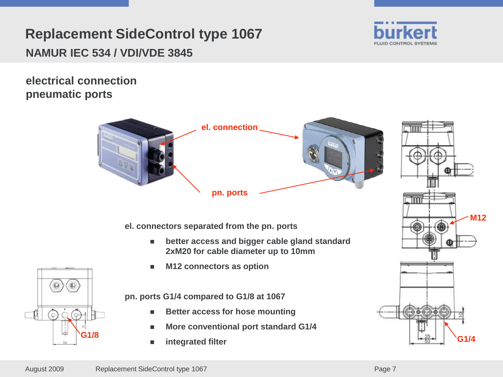

**electrical connection pneumatic ports**



**el. connectors separated from the pn. ports**

- **better access and bigger cable gland standard 2xM20 for cable diameter up to 10mm**
- **M12 connectors as option**

**pn. ports G1/4 compared to G1/8 at 1067**

- **Better access for hose mounting**
- **More conventional port standard G1/4**
- **integrated filter**



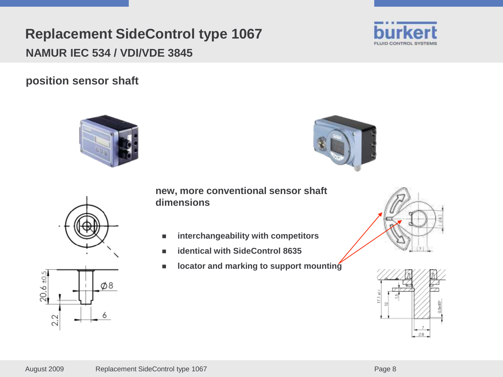$\varphi$ 8

August 2009 Replacement SideControl type 1067 Page 8

# **Replacement SideControl type 1067 NAMUR IEC 534 / VDI/VDE 3845**

**position sensor shaft**

 $20,6 + 0.5$ 

2.2





**new, more conventional sensor shaft dimensions**

- **interchangeability with competitors**
- **identical with SideControl 8635**
- locator and marking to support mounting





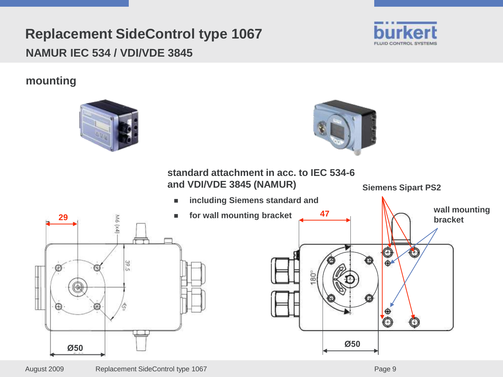

### **mounting**

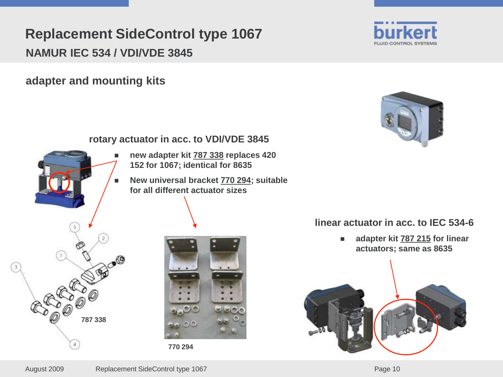**adapter and mounting kits**





#### **rotary actuator in acc. to VDI/VDE 3845**

**770 294**

- **new adapter kit 787 338 replaces 420 152 for 1067; identical for 8635**
- **New universal bracket 770 294; suitable for all different actuator sizes**

#### **linear actuator in acc. to IEC 534-6**

 **adapter kit 787 215 for linear actuators; same as 8635**



**787 338**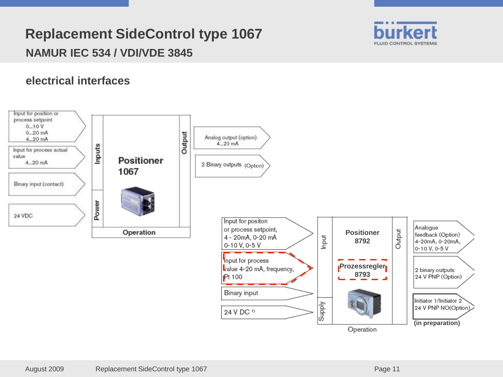

#### **electrical interfaces**

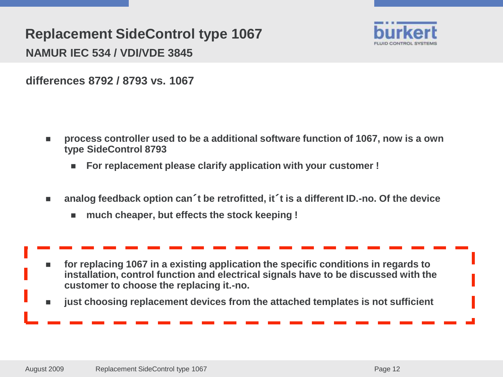

**differences 8792 / 8793 vs. 1067**

- **process controller used to be a additional software function of 1067, now is a own type SideControl 8793**
	- **For replacement please clarify application with your customer !**
- **analog feedback option can**´**t be retrofitted, it**´**t is a different ID.-no. Of the device** 
	- **much cheaper, but effects the stock keeping !**

 **for replacing 1067 in a existing application the specific conditions in regards to installation, control function and electrical signals have to be discussed with the customer to choose the replacing it.-no.** 

**just choosing replacement devices from the attached templates is not sufficient**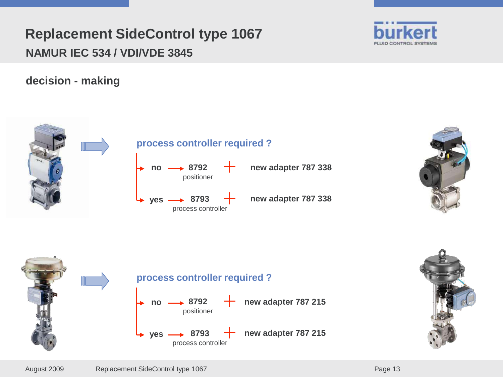

**decision - making**





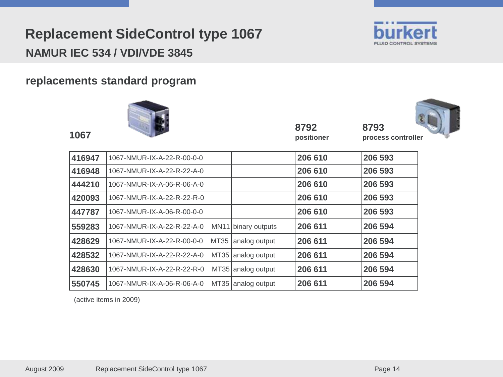

#### **replacements standard program**



**positioner**



| 416947 | 1067-NMUR-IX-A-22-R-00-0-0 |             |                    | 206 610 | 206 593 |
|--------|----------------------------|-------------|--------------------|---------|---------|
| 416948 | 1067-NMUR-IX-A-22-R-22-A-0 |             |                    | 206 610 | 206 593 |
| 444210 | 1067-NMUR-IX-A-06-R-06-A-0 |             |                    | 206 610 | 206 593 |
| 420093 | 1067-NMUR-IX-A-22-R-22-R-0 |             |                    | 206 610 | 206 593 |
| 447787 | 1067-NMUR-IX-A-06-R-00-0-0 |             |                    | 206 610 | 206 593 |
| 559283 | 1067-NMUR-IX-A-22-R-22-A-0 | <b>MN11</b> | binary outputs     | 206 611 | 206 594 |
| 428629 | 1067-NMUR-IX-A-22-R-00-0-0 | MT35        | analog output      | 206 611 | 206 594 |
| 428532 | 1067-NMUR-IX-A-22-R-22-A-0 |             | MT35 analog output | 206 611 | 206 594 |
| 428630 | 1067-NMUR-IX-A-22-R-22-R-0 |             | MT35 analog output | 206 611 | 206 594 |
| 550745 | 1067-NMUR-IX-A-06-R-06-A-0 |             | MT35 analog output | 206 611 | 206 594 |

(active items in 2009)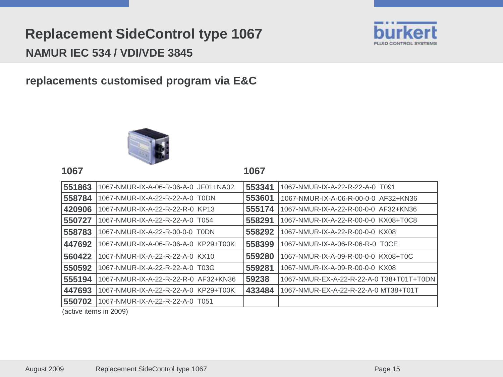**replacements customised program via E&C**



**1067**

| 551863                             | 1067-NMUR-IX-A-06-R-06-A-0 JF01+NA02 | 553341 | 1067-NMUR-IX-A-22-R-22-A-0 T091          |
|------------------------------------|--------------------------------------|--------|------------------------------------------|
| 558784                             | 1067-NMUR-IX-A-22-R-22-A-0 T0DN      | 553601 | 1067-NMUR-IX-A-06-R-00-0-0 AF32+KN36     |
| 420906                             | 1067-NMUR-IX-A-22-R-22-R-0 KP13      | 555174 | 1067-NMUR-IX-A-22-R-00-0-0 AF32+KN36     |
| 550727                             | 1067-NMUR-IX-A-22-R-22-A-0 T054      | 558291 | 1067-NMUR-IX-A-22-R-00-0-0 KX08+T0C8     |
| 558783                             | 1067-NMUR-IX-A-22-R-00-0-0 T0DN      | 558292 | 1067-NMUR-IX-A-22-R-00-0-0 KX08          |
| 447692                             | 1067-NMUR-IX-A-06-R-06-A-0 KP29+T00K | 558399 | 1067-NMUR-IX-A-06-R-06-R-0 TOCE          |
| 560422                             | 1067-NMUR-IX-A-22-R-22-A-0 KX10      | 559280 | 1067-NMUR-IX-A-09-R-00-0-0 KX08+T0C      |
| 550592                             | 1067-NMUR-IX-A-22-R-22-A-0 T03G      | 559281 | 1067-NMUR-IX-A-09-R-00-0-0 KX08          |
| 555194                             | 1067-NMUR-IX-A-22-R-22-R-0 AF32+KN36 | 59238  | 1067-NMUR-EX-A-22-R-22-A-0 T38+T01T+T0DN |
| 447693                             | 1067-NMUR-IX-A-22-R-22-A-0 KP29+T00K | 433484 | 1067-NMUR-EX-A-22-R-22-A-0 MT38+T01T     |
| 550702                             | 1067-NMUR-IX-A-22-R-22-A-0 T051      |        |                                          |
| $(a + b)$ is $(b - b)$ in $(0, 0)$ |                                      |        |                                          |

(active items in 2009)

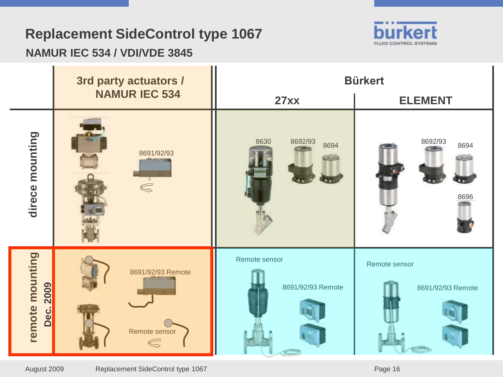# **Replacement SideControl type 1067**



### **NAMUR IEC 534 / VDI/VDE 3845**

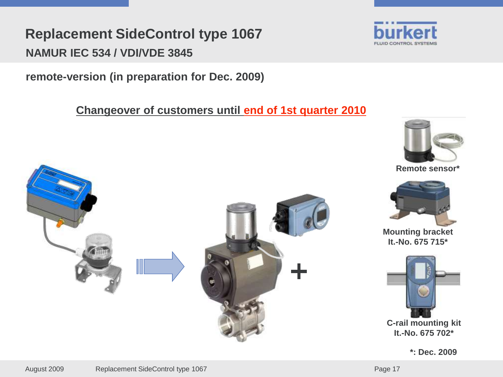**remote-version (in preparation for Dec. 2009)**

**Changeover of customers until end of 1st quarter 2010**





**Remote sensor\***



**Mounting bracket It.-No. 675 715\***



**\*: Dec. 2009**

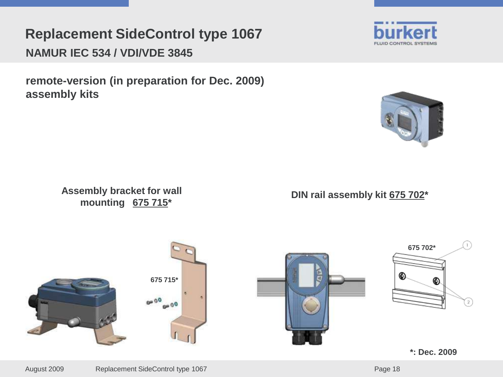**remote-version (in preparation for Dec. 2009) assembly kits**

> **Assembly bracket for wall mounting 675 715\***

**DIN rail assembly kit 675 702\***









**\*: Dec. 2009**